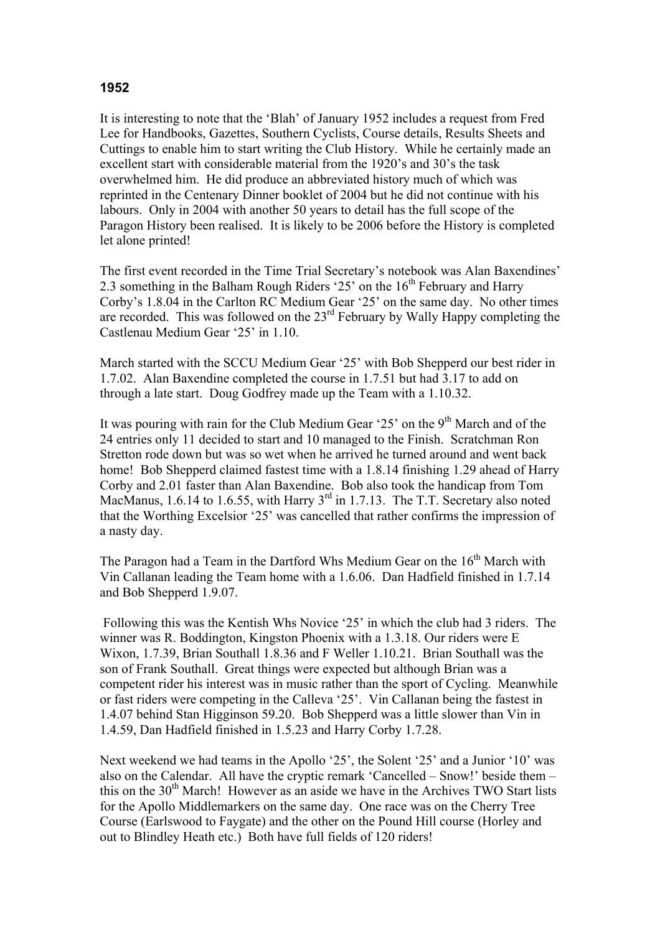## **1952**

It is interesting to note that the 'Blah' of January 1952 includes a request from Fred Lee for Handbooks, Gazettes, Southern Cyclists, Course details, Results Sheets and Cuttings to enable him to start writing the Club History. While he certainly made an excellent start with considerable material from the 1920's and 30's the task overwhelmed him. He did produce an abbreviated history much of which was reprinted in the Centenary Dinner booklet of 2004 but he did not continue with his labours. Only in 2004 with another 50 years to detail has the full scope of the Paragon History been realised. It is likely to be 2006 before the History is completed let alone printed!

The first event recorded in the Time Trial Secretary's notebook was Alan Baxendines' 2.3 something in the Balham Rough Riders '25' on the  $16<sup>th</sup>$  February and Harry Corby's 1.8.04 in the Carlton RC Medium Gear '25' on the same day. No other times are recorded. This was followed on the  $23<sup>rd</sup>$  February by Wally Happy completing the Castlenau Medium Gear '25' in 1.10.

March started with the SCCU Medium Gear '25' with Bob Shepperd our best rider in 1.7.02. Alan Baxendine completed the course in 1.7.51 but had 3.17 to add on through a late start. Doug Godfrey made up the Team with a 1.10.32.

It was pouring with rain for the Club Medium Gear '25' on the  $9<sup>th</sup>$  March and of the 24 entries only 11 decided to start and 10 managed to the Finish. Scratchman Ron Stretton rode down but was so wet when he arrived he turned around and went back home! Bob Shepperd claimed fastest time with a 1.8.14 finishing 1.29 ahead of Harry Corby and 2.01 faster than Alan Baxendine. Bob also took the handicap from Tom MacManus, 1.6.14 to 1.6.55, with Harry 3<sup>rd</sup> in 1.7.13. The T.T. Secretary also noted that the Worthing Excelsior '25' was cancelled that rather confirms the impression of a nasty day.

The Paragon had a Team in the Dartford Whs Medium Gear on the  $16<sup>th</sup>$  March with Vin Callanan leading the Team home with a 1.6.06. Dan Hadfield finished in 1.7.14 and Bob Shepperd 1.9.07.

 Following this was the Kentish Whs Novice '25' in which the club had 3 riders. The winner was R. Boddington, Kingston Phoenix with a 1.3.18. Our riders were E Wixon, 1.7.39, Brian Southall 1.8.36 and F Weller 1.10.21. Brian Southall was the son of Frank Southall. Great things were expected but although Brian was a competent rider his interest was in music rather than the sport of Cycling. Meanwhile or fast riders were competing in the Calleva '25'. Vin Callanan being the fastest in 1.4.07 behind Stan Higginson 59.20. Bob Shepperd was a little slower than Vin in 1.4.59, Dan Hadfield finished in 1.5.23 and Harry Corby 1.7.28.

Next weekend we had teams in the Apollo '25', the Solent '25' and a Junior '10' was also on the Calendar. All have the cryptic remark 'Cancelled – Snow!' beside them – this on the  $30<sup>th</sup>$  March! However as an aside we have in the Archives TWO Start lists for the Apollo Middlemarkers on the same day. One race was on the Cherry Tree Course (Earlswood to Faygate) and the other on the Pound Hill course (Horley and out to Blindley Heath etc.) Both have full fields of 120 riders!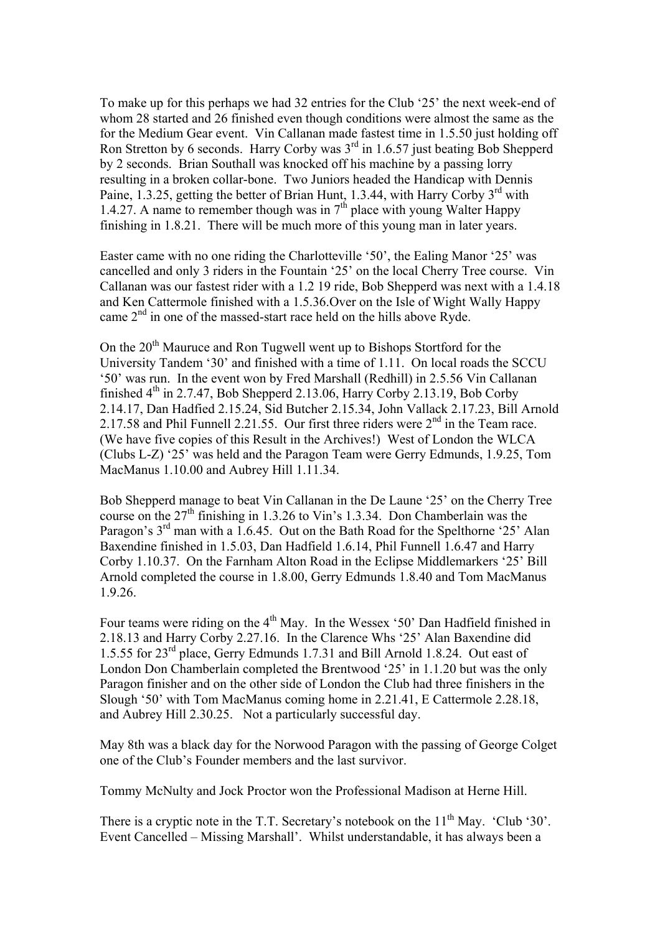To make up for this perhaps we had 32 entries for the Club '25' the next week-end of whom 28 started and 26 finished even though conditions were almost the same as the for the Medium Gear event. Vin Callanan made fastest time in 1.5.50 just holding off Ron Stretton by 6 seconds. Harry Corby was 3rd in 1.6.57 just beating Bob Shepperd by 2 seconds. Brian Southall was knocked off his machine by a passing lorry resulting in a broken collar-bone. Two Juniors headed the Handicap with Dennis Paine, 1.3.25, getting the better of Brian Hunt, 1.3.44, with Harry Corby  $3^{\text{rd}}$  with 1.4.27. A name to remember though was in  $7<sup>th</sup>$  place with young Walter Happy finishing in 1.8.21. There will be much more of this young man in later years.

Easter came with no one riding the Charlotteville '50', the Ealing Manor '25' was cancelled and only 3 riders in the Fountain '25' on the local Cherry Tree course. Vin Callanan was our fastest rider with a 1.2 19 ride, Bob Shepperd was next with a 1.4.18 and Ken Cattermole finished with a 1.5.36.Over on the Isle of Wight Wally Happy came  $2<sup>nd</sup>$  in one of the massed-start race held on the hills above Ryde.

On the 20<sup>th</sup> Mauruce and Ron Tugwell went up to Bishops Stortford for the University Tandem '30' and finished with a time of 1.11. On local roads the SCCU '50' was run. In the event won by Fred Marshall (Redhill) in 2.5.56 Vin Callanan finished  $4<sup>th</sup>$  in 2.7.47, Bob Shepperd 2.13.06, Harry Corby 2.13.19, Bob Corby 2.14.17, Dan Hadfied 2.15.24, Sid Butcher 2.15.34, John Vallack 2.17.23, Bill Arnold 2.17.58 and Phil Funnell 2.21.55. Our first three riders were  $2<sup>nd</sup>$  in the Team race. (We have five copies of this Result in the Archives!) West of London the WLCA (Clubs L-Z) '25' was held and the Paragon Team were Gerry Edmunds, 1.9.25, Tom MacManus 1.10.00 and Aubrey Hill 1.11.34.

Bob Shepperd manage to beat Vin Callanan in the De Laune '25' on the Cherry Tree course on the  $27<sup>th</sup>$  finishing in 1.3.26 to Vin's 1.3.34. Don Chamberlain was the Paragon's  $3<sup>rd</sup>$  man with a 1.6.45. Out on the Bath Road for the Spelthorne '25' Alan Baxendine finished in 1.5.03, Dan Hadfield 1.6.14, Phil Funnell 1.6.47 and Harry Corby 1.10.37. On the Farnham Alton Road in the Eclipse Middlemarkers '25' Bill Arnold completed the course in 1.8.00, Gerry Edmunds 1.8.40 and Tom MacManus 1.9.26.

Four teams were riding on the 4<sup>th</sup> May. In the Wessex '50' Dan Hadfield finished in 2.18.13 and Harry Corby 2.27.16. In the Clarence Whs '25' Alan Baxendine did 1.5.55 for 23rd place, Gerry Edmunds 1.7.31 and Bill Arnold 1.8.24. Out east of London Don Chamberlain completed the Brentwood '25' in 1.1.20 but was the only Paragon finisher and on the other side of London the Club had three finishers in the Slough '50' with Tom MacManus coming home in 2.21.41, E Cattermole 2.28.18, and Aubrey Hill 2.30.25. Not a particularly successful day.

May 8th was a black day for the Norwood Paragon with the passing of George Colget one of the Club's Founder members and the last survivor.

Tommy McNulty and Jock Proctor won the Professional Madison at Herne Hill.

There is a cryptic note in the T.T. Secretary's notebook on the  $11<sup>th</sup>$  May. 'Club '30'. Event Cancelled – Missing Marshall'. Whilst understandable, it has always been a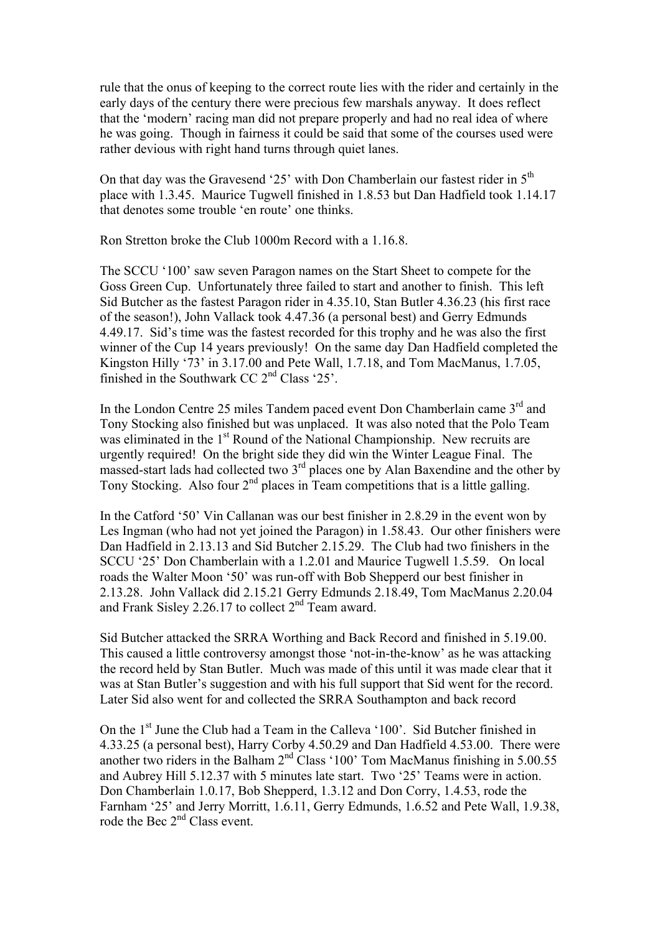rule that the onus of keeping to the correct route lies with the rider and certainly in the early days of the century there were precious few marshals anyway. It does reflect that the 'modern' racing man did not prepare properly and had no real idea of where he was going. Though in fairness it could be said that some of the courses used were rather devious with right hand turns through quiet lanes.

On that day was the Gravesend '25' with Don Chamberlain our fastest rider in  $5<sup>th</sup>$ place with 1.3.45. Maurice Tugwell finished in 1.8.53 but Dan Hadfield took 1.14.17 that denotes some trouble 'en route' one thinks.

Ron Stretton broke the Club 1000m Record with a 1.16.8.

The SCCU '100' saw seven Paragon names on the Start Sheet to compete for the Goss Green Cup. Unfortunately three failed to start and another to finish. This left Sid Butcher as the fastest Paragon rider in 4.35.10, Stan Butler 4.36.23 (his first race of the season!), John Vallack took 4.47.36 (a personal best) and Gerry Edmunds 4.49.17. Sid's time was the fastest recorded for this trophy and he was also the first winner of the Cup 14 years previously! On the same day Dan Hadfield completed the Kingston Hilly '73' in 3.17.00 and Pete Wall, 1.7.18, and Tom MacManus, 1.7.05, finished in the Southwark CC 2nd Class '25'.

In the London Centre 25 miles Tandem paced event Don Chamberlain came 3rd and Tony Stocking also finished but was unplaced. It was also noted that the Polo Team was eliminated in the 1<sup>st</sup> Round of the National Championship. New recruits are urgently required! On the bright side they did win the Winter League Final. The massed-start lads had collected two 3rd places one by Alan Baxendine and the other by Tony Stocking. Also four  $2<sup>nd</sup>$  places in Team competitions that is a little galling.

In the Catford '50' Vin Callanan was our best finisher in 2.8.29 in the event won by Les Ingman (who had not yet joined the Paragon) in 1.58.43. Our other finishers were Dan Hadfield in 2.13.13 and Sid Butcher 2.15.29. The Club had two finishers in the SCCU '25' Don Chamberlain with a 1.2.01 and Maurice Tugwell 1.5.59. On local roads the Walter Moon '50' was run-off with Bob Shepperd our best finisher in 2.13.28. John Vallack did 2.15.21 Gerry Edmunds 2.18.49, Tom MacManus 2.20.04 and Frank Sisley 2.26.17 to collect 2nd Team award.

Sid Butcher attacked the SRRA Worthing and Back Record and finished in 5.19.00. This caused a little controversy amongst those 'not-in-the-know' as he was attacking the record held by Stan Butler. Much was made of this until it was made clear that it was at Stan Butler's suggestion and with his full support that Sid went for the record. Later Sid also went for and collected the SRRA Southampton and back record

On the 1st June the Club had a Team in the Calleva '100'. Sid Butcher finished in 4.33.25 (a personal best), Harry Corby 4.50.29 and Dan Hadfield 4.53.00. There were another two riders in the Balham  $2<sup>nd</sup>$  Class '100' Tom MacManus finishing in 5.00.55 and Aubrey Hill 5.12.37 with 5 minutes late start. Two '25' Teams were in action. Don Chamberlain 1.0.17, Bob Shepperd, 1.3.12 and Don Corry, 1.4.53, rode the Farnham '25' and Jerry Morritt, 1.6.11, Gerry Edmunds, 1.6.52 and Pete Wall, 1.9.38, rode the Bec 2<sup>nd</sup> Class event.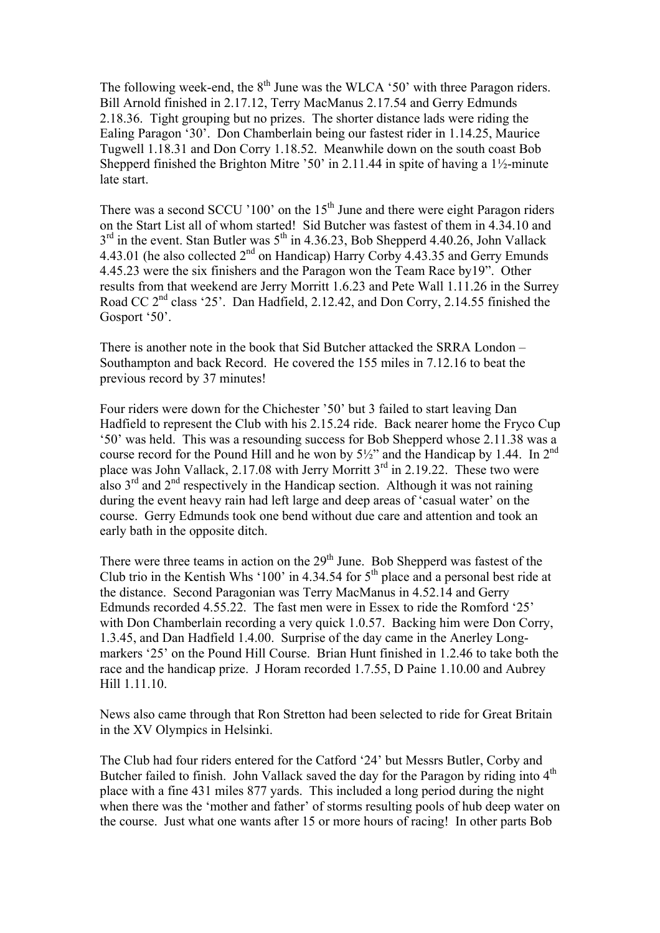The following week-end, the  $8<sup>th</sup>$  June was the WLCA '50' with three Paragon riders. Bill Arnold finished in 2.17.12, Terry MacManus 2.17.54 and Gerry Edmunds 2.18.36. Tight grouping but no prizes. The shorter distance lads were riding the Ealing Paragon '30'. Don Chamberlain being our fastest rider in 1.14.25, Maurice Tugwell 1.18.31 and Don Corry 1.18.52. Meanwhile down on the south coast Bob Shepperd finished the Brighton Mitre '50' in 2.11.44 in spite of having a  $1\frac{1}{2}$ -minute late start.

There was a second SCCU '100' on the  $15<sup>th</sup>$  June and there were eight Paragon riders on the Start List all of whom started! Sid Butcher was fastest of them in 4.34.10 and  $3<sup>rd</sup>$  in the event. Stan Butler was  $5<sup>th</sup>$  in 4.36.23, Bob Shepperd 4.40.26, John Vallack 4.43.01 (he also collected 2nd on Handicap) Harry Corby 4.43.35 and Gerry Emunds 4.45.23 were the six finishers and the Paragon won the Team Race by19". Other results from that weekend are Jerry Morritt 1.6.23 and Pete Wall 1.11.26 in the Surrey Road CC 2<sup>nd</sup> class '25'. Dan Hadfield, 2.12.42, and Don Corry, 2.14.55 finished the Gosport '50'.

There is another note in the book that Sid Butcher attacked the SRRA London – Southampton and back Record. He covered the 155 miles in 7.12.16 to beat the previous record by 37 minutes!

Four riders were down for the Chichester '50' but 3 failed to start leaving Dan Hadfield to represent the Club with his 2.15.24 ride. Back nearer home the Fryco Cup '50' was held. This was a resounding success for Bob Shepperd whose 2.11.38 was a course record for the Pound Hill and he won by  $5\frac{1}{2}$  and the Handicap by 1.44. In  $2^{nd}$ place was John Vallack,  $2.17.08$  with Jerry Morritt  $3<sup>rd</sup>$  in 2.19.22. These two were also  $3<sup>rd</sup>$  and  $2<sup>nd</sup>$  respectively in the Handicap section. Although it was not raining during the event heavy rain had left large and deep areas of 'casual water' on the course. Gerry Edmunds took one bend without due care and attention and took an early bath in the opposite ditch.

There were three teams in action on the 29<sup>th</sup> June. Bob Shepperd was fastest of the Club trio in the Kentish Whs '100' in 4.34.54 for  $5<sup>th</sup>$  place and a personal best ride at the distance. Second Paragonian was Terry MacManus in 4.52.14 and Gerry Edmunds recorded 4.55.22. The fast men were in Essex to ride the Romford '25' with Don Chamberlain recording a very quick 1.0.57. Backing him were Don Corry, 1.3.45, and Dan Hadfield 1.4.00. Surprise of the day came in the Anerley Longmarkers '25' on the Pound Hill Course. Brian Hunt finished in 1.2.46 to take both the race and the handicap prize. J Horam recorded 1.7.55, D Paine 1.10.00 and Aubrey Hill 1.11.10.

News also came through that Ron Stretton had been selected to ride for Great Britain in the XV Olympics in Helsinki.

The Club had four riders entered for the Catford '24' but Messrs Butler, Corby and Butcher failed to finish. John Vallack saved the day for the Paragon by riding into 4<sup>th</sup> place with a fine 431 miles 877 yards. This included a long period during the night when there was the 'mother and father' of storms resulting pools of hub deep water on the course. Just what one wants after 15 or more hours of racing! In other parts Bob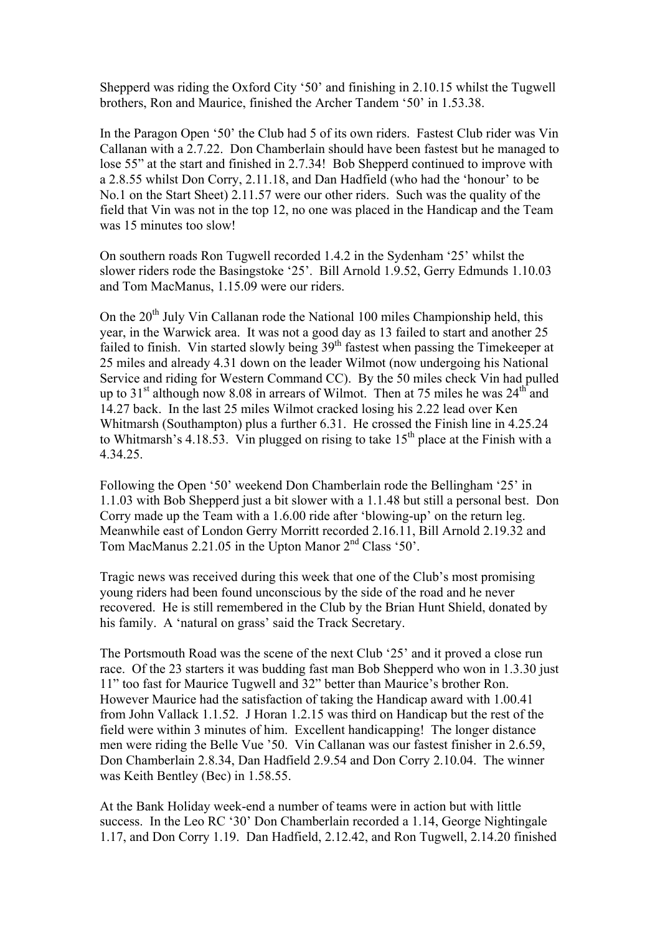Shepperd was riding the Oxford City '50' and finishing in 2.10.15 whilst the Tugwell brothers, Ron and Maurice, finished the Archer Tandem '50' in 1.53.38.

In the Paragon Open '50' the Club had 5 of its own riders. Fastest Club rider was Vin Callanan with a 2.7.22. Don Chamberlain should have been fastest but he managed to lose 55" at the start and finished in 2.7.34! Bob Shepperd continued to improve with a 2.8.55 whilst Don Corry, 2.11.18, and Dan Hadfield (who had the 'honour' to be No.1 on the Start Sheet) 2.11.57 were our other riders. Such was the quality of the field that Vin was not in the top 12, no one was placed in the Handicap and the Team was 15 minutes too slow!

On southern roads Ron Tugwell recorded 1.4.2 in the Sydenham '25' whilst the slower riders rode the Basingstoke '25'. Bill Arnold 1.9.52, Gerry Edmunds 1.10.03 and Tom MacManus, 1.15.09 were our riders.

On the  $20<sup>th</sup>$  July Vin Callanan rode the National 100 miles Championship held, this year, in the Warwick area. It was not a good day as 13 failed to start and another 25 failed to finish. Vin started slowly being 39<sup>th</sup> fastest when passing the Timekeeper at 25 miles and already 4.31 down on the leader Wilmot (now undergoing his National Service and riding for Western Command CC). By the 50 miles check Vin had pulled up to  $31<sup>st</sup>$  although now 8.08 in arrears of Wilmot. Then at 75 miles he was  $24<sup>th</sup>$  and 14.27 back. In the last 25 miles Wilmot cracked losing his 2.22 lead over Ken Whitmarsh (Southampton) plus a further 6.31. He crossed the Finish line in 4.25.24 to Whitmarsh's 4.18.53. Vin plugged on rising to take  $15<sup>th</sup>$  place at the Finish with a 4.34.25.

Following the Open '50' weekend Don Chamberlain rode the Bellingham '25' in 1.1.03 with Bob Shepperd just a bit slower with a 1.1.48 but still a personal best. Don Corry made up the Team with a 1.6.00 ride after 'blowing-up' on the return leg. Meanwhile east of London Gerry Morritt recorded 2.16.11, Bill Arnold 2.19.32 and Tom MacManus 2.21.05 in the Upton Manor  $2<sup>nd</sup> Class '50'.$ 

Tragic news was received during this week that one of the Club's most promising young riders had been found unconscious by the side of the road and he never recovered. He is still remembered in the Club by the Brian Hunt Shield, donated by his family. A 'natural on grass' said the Track Secretary.

The Portsmouth Road was the scene of the next Club '25' and it proved a close run race. Of the 23 starters it was budding fast man Bob Shepperd who won in 1.3.30 just 11" too fast for Maurice Tugwell and 32" better than Maurice's brother Ron. However Maurice had the satisfaction of taking the Handicap award with 1.00.41 from John Vallack 1.1.52. J Horan 1.2.15 was third on Handicap but the rest of the field were within 3 minutes of him. Excellent handicapping! The longer distance men were riding the Belle Vue '50. Vin Callanan was our fastest finisher in 2.6.59, Don Chamberlain 2.8.34, Dan Hadfield 2.9.54 and Don Corry 2.10.04. The winner was Keith Bentley (Bec) in 1.58.55.

At the Bank Holiday week-end a number of teams were in action but with little success. In the Leo RC '30' Don Chamberlain recorded a 1.14, George Nightingale 1.17, and Don Corry 1.19. Dan Hadfield, 2.12.42, and Ron Tugwell, 2.14.20 finished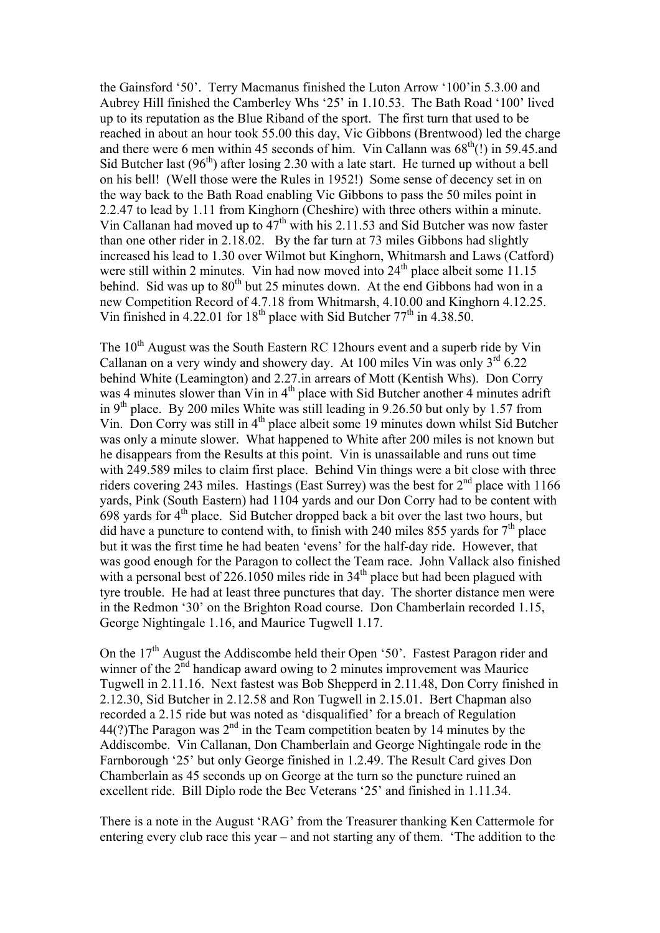the Gainsford '50'. Terry Macmanus finished the Luton Arrow '100'in 5.3.00 and Aubrey Hill finished the Camberley Whs '25' in 1.10.53. The Bath Road '100' lived up to its reputation as the Blue Riband of the sport. The first turn that used to be reached in about an hour took 55.00 this day, Vic Gibbons (Brentwood) led the charge and there were 6 men within 45 seconds of him. Vin Callann was  $68<sup>th</sup>(!)$  in 59.45.and Sid Butcher last  $(96<sup>th</sup>)$  after losing 2.30 with a late start. He turned up without a bell on his bell! (Well those were the Rules in 1952!) Some sense of decency set in on the way back to the Bath Road enabling Vic Gibbons to pass the 50 miles point in 2.2.47 to lead by 1.11 from Kinghorn (Cheshire) with three others within a minute. Vin Callanan had moved up to  $47<sup>th</sup>$  with his 2.11.53 and Sid Butcher was now faster than one other rider in 2.18.02. By the far turn at 73 miles Gibbons had slightly increased his lead to 1.30 over Wilmot but Kinghorn, Whitmarsh and Laws (Catford) were still within 2 minutes. Vin had now moved into  $24<sup>th</sup>$  place albeit some 11.15 behind. Sid was up to 80<sup>th</sup> but 25 minutes down. At the end Gibbons had won in a new Competition Record of 4.7.18 from Whitmarsh, 4.10.00 and Kinghorn 4.12.25. Vin finished in 4.22.01 for  $18<sup>th</sup>$  place with Sid Butcher  $77<sup>th</sup>$  in 4.38.50.

The 10<sup>th</sup> August was the South Eastern RC 12hours event and a superb ride by Vin Callanan on a very windy and showery day. At 100 miles Vin was only  $3^{rd}$  6.22 behind White (Leamington) and 2.27.in arrears of Mott (Kentish Whs). Don Corry was 4 minutes slower than Vin in  $4<sup>th</sup>$  place with Sid Butcher another 4 minutes adrift in 9<sup>th</sup> place. By 200 miles White was still leading in 9.26.50 but only by 1.57 from Vin. Don Corry was still in 4th place albeit some 19 minutes down whilst Sid Butcher was only a minute slower. What happened to White after 200 miles is not known but he disappears from the Results at this point. Vin is unassailable and runs out time with 249.589 miles to claim first place. Behind Vin things were a bit close with three riders covering 243 miles. Hastings (East Surrey) was the best for 2<sup>nd</sup> place with 1166 yards, Pink (South Eastern) had 1104 yards and our Don Corry had to be content with 698 yards for  $4<sup>th</sup>$  place. Sid Butcher dropped back a bit over the last two hours, but did have a puncture to contend with, to finish with 240 miles 855 yards for  $7<sup>th</sup>$  place but it was the first time he had beaten 'evens' for the half-day ride. However, that was good enough for the Paragon to collect the Team race. John Vallack also finished with a personal best of  $226.1050$  miles ride in  $34<sup>th</sup>$  place but had been plagued with tyre trouble. He had at least three punctures that day. The shorter distance men were in the Redmon '30' on the Brighton Road course. Don Chamberlain recorded 1.15, George Nightingale 1.16, and Maurice Tugwell 1.17.

On the 17<sup>th</sup> August the Addiscombe held their Open '50'. Fastest Paragon rider and winner of the  $2<sup>nd</sup>$  handicap award owing to 2 minutes improvement was Maurice Tugwell in 2.11.16. Next fastest was Bob Shepperd in 2.11.48, Don Corry finished in 2.12.30, Sid Butcher in 2.12.58 and Ron Tugwell in 2.15.01. Bert Chapman also recorded a 2.15 ride but was noted as 'disqualified' for a breach of Regulation 44(?) The Paragon was  $2<sup>nd</sup>$  in the Team competition beaten by 14 minutes by the Addiscombe. Vin Callanan, Don Chamberlain and George Nightingale rode in the Farnborough '25' but only George finished in 1.2.49. The Result Card gives Don Chamberlain as 45 seconds up on George at the turn so the puncture ruined an excellent ride. Bill Diplo rode the Bec Veterans '25' and finished in 1.11.34.

There is a note in the August 'RAG' from the Treasurer thanking Ken Cattermole for entering every club race this year – and not starting any of them. 'The addition to the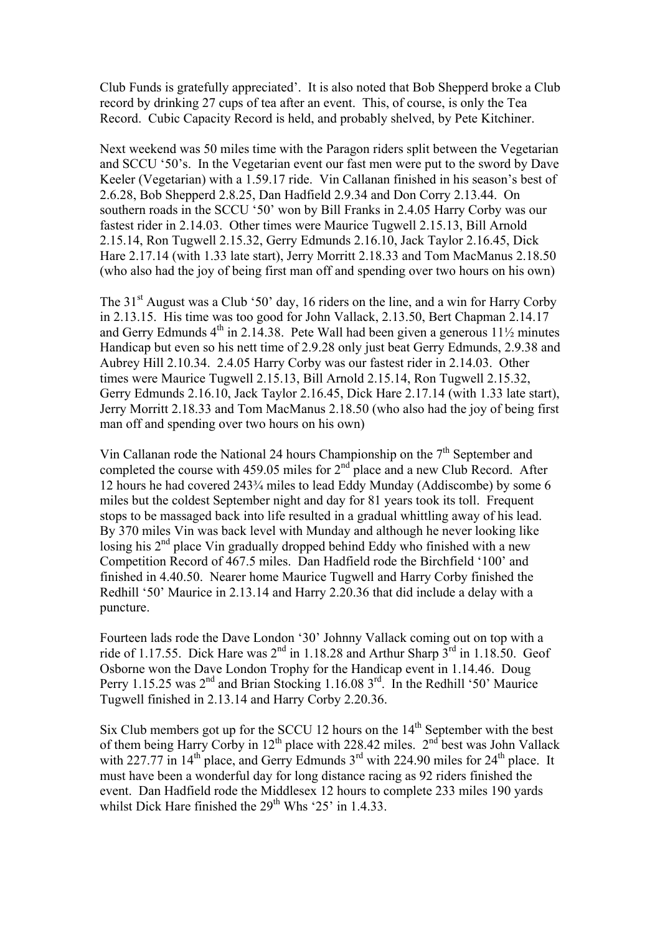Club Funds is gratefully appreciated'. It is also noted that Bob Shepperd broke a Club record by drinking 27 cups of tea after an event. This, of course, is only the Tea Record. Cubic Capacity Record is held, and probably shelved, by Pete Kitchiner.

Next weekend was 50 miles time with the Paragon riders split between the Vegetarian and SCCU '50's. In the Vegetarian event our fast men were put to the sword by Dave Keeler (Vegetarian) with a 1.59.17 ride. Vin Callanan finished in his season's best of 2.6.28, Bob Shepperd 2.8.25, Dan Hadfield 2.9.34 and Don Corry 2.13.44. On southern roads in the SCCU '50' won by Bill Franks in 2.4.05 Harry Corby was our fastest rider in 2.14.03. Other times were Maurice Tugwell 2.15.13, Bill Arnold 2.15.14, Ron Tugwell 2.15.32, Gerry Edmunds 2.16.10, Jack Taylor 2.16.45, Dick Hare 2.17.14 (with 1.33 late start), Jerry Morritt 2.18.33 and Tom MacManus 2.18.50 (who also had the joy of being first man off and spending over two hours on his own)

The  $31<sup>st</sup>$  August was a Club '50' day, 16 riders on the line, and a win for Harry Corby in 2.13.15. His time was too good for John Vallack, 2.13.50, Bert Chapman 2.14.17 and Gerry Edmunds  $4<sup>th</sup>$  in 2.14.38. Pete Wall had been given a generous 11<sup>1</sup>/<sub>2</sub> minutes Handicap but even so his nett time of 2.9.28 only just beat Gerry Edmunds, 2.9.38 and Aubrey Hill 2.10.34. 2.4.05 Harry Corby was our fastest rider in 2.14.03. Other times were Maurice Tugwell 2.15.13, Bill Arnold 2.15.14, Ron Tugwell 2.15.32, Gerry Edmunds 2.16.10, Jack Taylor 2.16.45, Dick Hare 2.17.14 (with 1.33 late start), Jerry Morritt 2.18.33 and Tom MacManus 2.18.50 (who also had the joy of being first man off and spending over two hours on his own)

Vin Callanan rode the National 24 hours Championship on the  $7<sup>th</sup>$  September and completed the course with 459.05 miles for  $2<sup>nd</sup>$  place and a new Club Record. After 12 hours he had covered 243¾ miles to lead Eddy Munday (Addiscombe) by some 6 miles but the coldest September night and day for 81 years took its toll. Frequent stops to be massaged back into life resulted in a gradual whittling away of his lead. By 370 miles Vin was back level with Munday and although he never looking like losing his 2<sup>nd</sup> place Vin gradually dropped behind Eddy who finished with a new Competition Record of 467.5 miles. Dan Hadfield rode the Birchfield '100' and finished in 4.40.50. Nearer home Maurice Tugwell and Harry Corby finished the Redhill '50' Maurice in 2.13.14 and Harry 2.20.36 that did include a delay with a puncture.

Fourteen lads rode the Dave London '30' Johnny Vallack coming out on top with a ride of 1.17.55. Dick Hare was  $2<sup>nd</sup>$  in 1.18.28 and Arthur Sharp  $3<sup>rd</sup>$  in 1.18.50. Geof Osborne won the Dave London Trophy for the Handicap event in 1.14.46. Doug Perry 1.15.25 was 2<sup>nd</sup> and Brian Stocking 1.16.08 3<sup>rd</sup>. In the Redhill '50' Maurice Tugwell finished in 2.13.14 and Harry Corby 2.20.36.

Six Club members got up for the SCCU 12 hours on the  $14<sup>th</sup>$  September with the best of them being Harry Corby in  $12<sup>th</sup>$  place with 228.42 miles.  $2<sup>nd</sup>$  best was John Vallack with 227.77 in  $14<sup>th</sup>$  place, and Gerry Edmunds  $3<sup>rd</sup>$  with 224.90 miles for  $24<sup>th</sup>$  place. It must have been a wonderful day for long distance racing as 92 riders finished the event. Dan Hadfield rode the Middlesex 12 hours to complete 233 miles 190 yards whilst Dick Hare finished the  $29<sup>th</sup>$  Whs '25' in 1.4.33.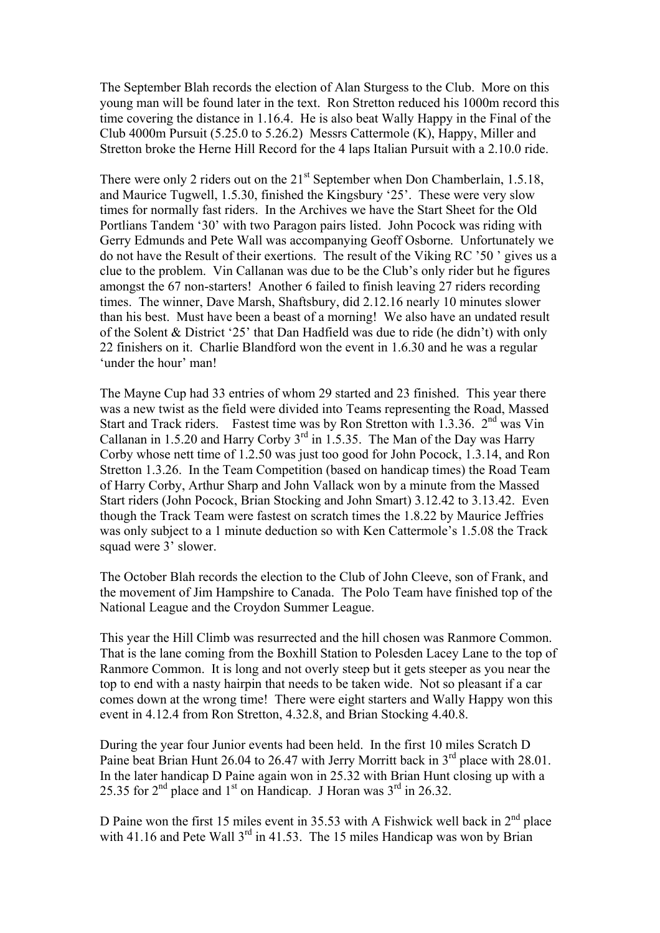The September Blah records the election of Alan Sturgess to the Club. More on this young man will be found later in the text. Ron Stretton reduced his 1000m record this time covering the distance in 1.16.4. He is also beat Wally Happy in the Final of the Club 4000m Pursuit (5.25.0 to 5.26.2) Messrs Cattermole (K), Happy, Miller and Stretton broke the Herne Hill Record for the 4 laps Italian Pursuit with a 2.10.0 ride.

There were only 2 riders out on the 21<sup>st</sup> September when Don Chamberlain, 1.5.18, and Maurice Tugwell, 1.5.30, finished the Kingsbury '25'. These were very slow times for normally fast riders. In the Archives we have the Start Sheet for the Old Portlians Tandem '30' with two Paragon pairs listed. John Pocock was riding with Gerry Edmunds and Pete Wall was accompanying Geoff Osborne. Unfortunately we do not have the Result of their exertions. The result of the Viking RC '50 ' gives us a clue to the problem. Vin Callanan was due to be the Club's only rider but he figures amongst the 67 non-starters! Another 6 failed to finish leaving 27 riders recording times. The winner, Dave Marsh, Shaftsbury, did 2.12.16 nearly 10 minutes slower than his best. Must have been a beast of a morning! We also have an undated result of the Solent & District '25' that Dan Hadfield was due to ride (he didn't) with only 22 finishers on it. Charlie Blandford won the event in 1.6.30 and he was a regular 'under the hour' man!

The Mayne Cup had 33 entries of whom 29 started and 23 finished. This year there was a new twist as the field were divided into Teams representing the Road, Massed Start and Track riders. Fastest time was by Ron Stretton with  $1.3.36$ .  $2<sup>nd</sup>$  was Vin Callanan in 1.5.20 and Harry Corby  $3^{rd}$  in 1.5.35. The Man of the Day was Harry Corby whose nett time of 1.2.50 was just too good for John Pocock, 1.3.14, and Ron Stretton 1.3.26. In the Team Competition (based on handicap times) the Road Team of Harry Corby, Arthur Sharp and John Vallack won by a minute from the Massed Start riders (John Pocock, Brian Stocking and John Smart) 3.12.42 to 3.13.42. Even though the Track Team were fastest on scratch times the 1.8.22 by Maurice Jeffries was only subject to a 1 minute deduction so with Ken Cattermole's 1.5.08 the Track squad were 3' slower.

The October Blah records the election to the Club of John Cleeve, son of Frank, and the movement of Jim Hampshire to Canada. The Polo Team have finished top of the National League and the Croydon Summer League.

This year the Hill Climb was resurrected and the hill chosen was Ranmore Common. That is the lane coming from the Boxhill Station to Polesden Lacey Lane to the top of Ranmore Common. It is long and not overly steep but it gets steeper as you near the top to end with a nasty hairpin that needs to be taken wide. Not so pleasant if a car comes down at the wrong time! There were eight starters and Wally Happy won this event in 4.12.4 from Ron Stretton, 4.32.8, and Brian Stocking 4.40.8.

During the year four Junior events had been held. In the first 10 miles Scratch D Paine beat Brian Hunt 26.04 to 26.47 with Jerry Morritt back in  $3<sup>rd</sup>$  place with 28.01. In the later handicap D Paine again won in 25.32 with Brian Hunt closing up with a 25.35 for  $2<sup>nd</sup>$  place and  $1<sup>st</sup>$  on Handicap. J Horan was  $3<sup>rd</sup>$  in 26.32.

D Paine won the first 15 miles event in 35.53 with A Fishwick well back in  $2<sup>nd</sup>$  place with 41.16 and Pete Wall  $3^{rd}$  in 41.53. The 15 miles Handicap was won by Brian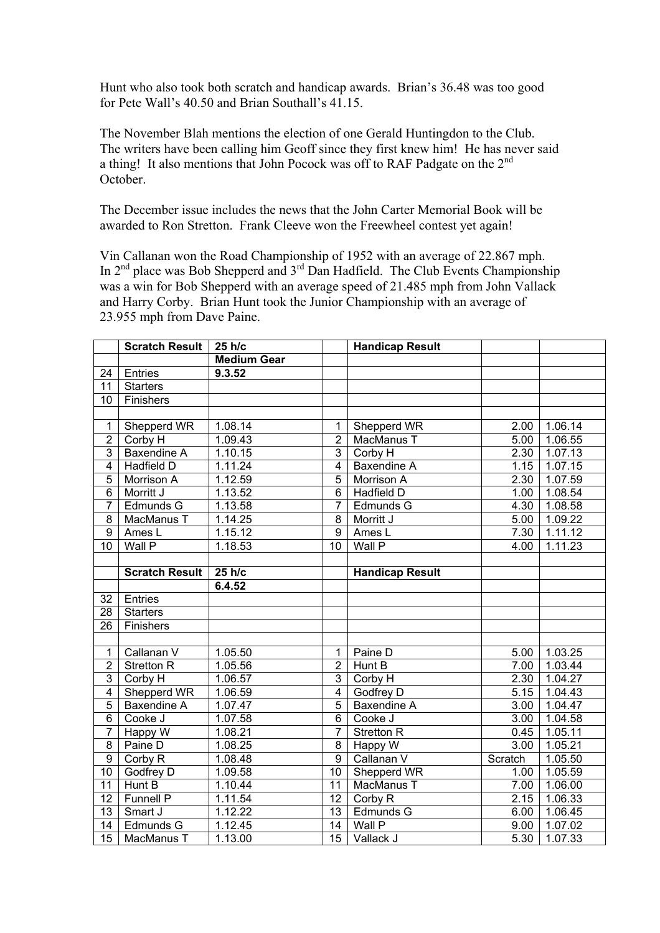Hunt who also took both scratch and handicap awards. Brian's 36.48 was too good for Pete Wall's 40.50 and Brian Southall's 41.15.

The November Blah mentions the election of one Gerald Huntingdon to the Club. The writers have been calling him Geoff since they first knew him! He has never said a thing! It also mentions that John Pocock was off to RAF Padgate on the 2nd October.

The December issue includes the news that the John Carter Memorial Book will be awarded to Ron Stretton. Frank Cleeve won the Freewheel contest yet again!

Vin Callanan won the Road Championship of 1952 with an average of 22.867 mph. In  $2<sup>nd</sup>$  place was Bob Shepperd and  $3<sup>rd</sup>$  Dan Hadfield. The Club Events Championship was a win for Bob Shepperd with an average speed of 21.485 mph from John Vallack and Harry Corby. Brian Hunt took the Junior Championship with an average of 23.955 mph from Dave Paine.

|                  | <b>Scratch Result</b> | 25 h/c             |                 | <b>Handicap Result</b> |                   |         |
|------------------|-----------------------|--------------------|-----------------|------------------------|-------------------|---------|
|                  |                       | <b>Medium Gear</b> |                 |                        |                   |         |
| 24               | Entries               | 9.3.52             |                 |                        |                   |         |
| $\overline{11}$  | <b>Starters</b>       |                    |                 |                        |                   |         |
| 10               | Finishers             |                    |                 |                        |                   |         |
|                  |                       |                    |                 |                        |                   |         |
| $\mathbf 1$      | Shepperd WR           | 1.08.14            | 1               | Shepperd WR            | 2.00              | 1.06.14 |
| $\overline{2}$   | Corby H               | 1.09.43            | $\overline{2}$  | MacManus T             | 5.00              | 1.06.55 |
| 3                | Baxendine A           | 1.10.15            | $\overline{3}$  | Corby H                | 2.30              | 1.07.13 |
| $\overline{4}$   | Hadfield D            | 1.11.24            | $\overline{4}$  | <b>Baxendine A</b>     | 1.15              | 1.07.15 |
| $\overline{5}$   | Morrison A            | 1.12.59            | $\overline{5}$  | Morrison A             | 2.30              | 1.07.59 |
| 6                | Morritt J             | 1.13.52            | 6               | Hadfield D             | 1.00              | 1.08.54 |
| $\overline{7}$   | Edmunds G             | 1.13.58            | $\overline{7}$  | Edmunds G              | 4.30              | 1.08.58 |
| 8                | MacManus T            | 1.14.25            | 8               | Morritt J              | 5.00              | 1.09.22 |
| 9                | Ames L                | 1.15.12            | 9               | Ames L                 | 7.30              | 1.11.12 |
| 10               | Wall P                | 1.18.53            | 10              | Wall P                 | 4.00              | 1.11.23 |
|                  |                       |                    |                 |                        |                   |         |
|                  | <b>Scratch Result</b> | 25 h/c             |                 | <b>Handicap Result</b> |                   |         |
|                  |                       | 6.4.52             |                 |                        |                   |         |
| 32               | Entries               |                    |                 |                        |                   |         |
| $\overline{28}$  | <b>Starters</b>       |                    |                 |                        |                   |         |
| 26               | Finishers             |                    |                 |                        |                   |         |
|                  |                       |                    |                 |                        |                   |         |
| $\mathbf{1}$     | Callanan V            | 1.05.50            | 1               | Paine D                | 5.00              | 1.03.25 |
| $\overline{2}$   | <b>Stretton R</b>     | 1.05.56            | $\overline{2}$  | Hunt B                 | 7.00              | 1.03.44 |
| $\overline{3}$   | Corby H               | 1.06.57            | $\overline{3}$  | Corby H                | 2.30              | 1.04.27 |
| $\overline{4}$   | Shepperd WR           | 1.06.59            | $\overline{4}$  | Godfrey D              | 5.15              | 1.04.43 |
| $\overline{5}$   | Baxendine A           | 1.07.47            | $\overline{5}$  | Baxendine A            | 3.00              | 1.04.47 |
| $\overline{6}$   | Cooke J               | 1.07.58            | $\overline{6}$  | Cooke J                | $\overline{3.00}$ | 1.04.58 |
| $\overline{7}$   | Happy W               | 1.08.21            | $\overline{7}$  | Stretton R             | 0.45              | 1.05.11 |
| 8                | Paine D               | 1.08.25            | $\overline{8}$  | Happy W                | $\overline{3.00}$ | 1.05.21 |
| $\boldsymbol{9}$ | Corby R               | 1.08.48            | $\overline{9}$  | Callanan V             | Scratch           | 1.05.50 |
| $\overline{10}$  | Godfrey D             | 1.09.58            | 10              | Shepperd WR            | 1.00              | 1.05.59 |
| $\overline{11}$  | Hunt B                | 1.10.44            | 11              | MacManus T             | 7.00              | 1.06.00 |
| $\overline{12}$  | Funnell P             | 1.11.54            | $\overline{12}$ | Corby R                | 2.15              | 1.06.33 |
| $\overline{13}$  | Smart J               | 1.12.22            | $\overline{13}$ | Edmunds G              | 6.00              | 1.06.45 |
| 14               | Edmunds G             | 1.12.45            | 14              | Wall P                 | 9.00              | 1.07.02 |
| $\overline{15}$  | MacManus T            | 1.13.00            | 15              | Vallack J              | 5.30              | 1.07.33 |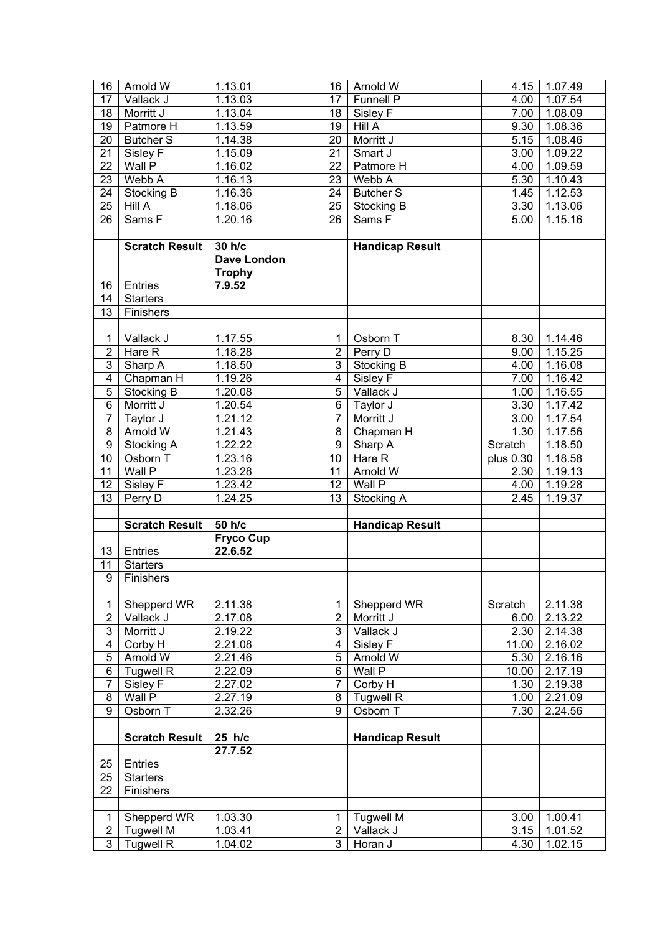| 16                               | Arnold W                             | 1.13.01            | 16                               | Arnold W               | 4.15               | 1.07.49              |
|----------------------------------|--------------------------------------|--------------------|----------------------------------|------------------------|--------------------|----------------------|
| 17                               | Vallack J                            | 1.13.03            | 17                               | Funnell P              | 4.00               | 1.07.54              |
| 18                               | Morritt J                            | 1.13.04            | 18                               | Sisley F               | 7.00               | 1.08.09              |
| 19                               | Patmore H                            | 1.13.59            | 19                               | <b>Hill A</b>          | 9.30               | 1.08.36              |
| 20                               | <b>Butcher S</b>                     | 1.14.38            | $\overline{20}$                  | Morritt J              | 5.15               | 1.08.46              |
| 21                               | Sisley F                             | 1.15.09            | $\overline{21}$                  | Smart J                | $\overline{3.00}$  | 1.09.22              |
| $\overline{22}$                  | $W$ all $P$                          | 1.16.02            | $\overline{22}$                  | Patmore H              | 4.00               | 1.09.59              |
| $\overline{23}$                  | Webb A                               | 1.16.13            | 23                               | Webb A                 | 5.30               | 1.10.43              |
| 24                               | Stocking B                           | 1.16.36            | 24                               | <b>Butcher S</b>       | 1.45               | 1.12.53              |
| 25                               | Hill A                               | 1.18.06            | 25                               | Stocking B             | 3.30               | 1.13.06              |
| 26                               |                                      |                    | 26                               |                        |                    | 1.15.16              |
|                                  | Sams <sub>F</sub>                    | 1.20.16            |                                  | Sams F                 | 5.00               |                      |
|                                  |                                      |                    |                                  |                        |                    |                      |
|                                  | <b>Scratch Result</b>                | 30 h/c             |                                  | <b>Handicap Result</b> |                    |                      |
|                                  |                                      | <b>Dave London</b> |                                  |                        |                    |                      |
|                                  |                                      | <b>Trophy</b>      |                                  |                        |                    |                      |
| 16                               | Entries                              | 7.9.52             |                                  |                        |                    |                      |
| 14                               | <b>Starters</b>                      |                    |                                  |                        |                    |                      |
| 13                               | Finishers                            |                    |                                  |                        |                    |                      |
|                                  |                                      |                    |                                  |                        |                    |                      |
| 1                                | Vallack J                            | 1.17.55            | 1                                | Osborn T               | 8.30               | 1.14.46              |
| $\overline{2}$                   | Hare R                               | 1.18.28            | $\overline{2}$                   | Perry D                | 9.00               | 1.15.25              |
| 3                                | Sharp A                              | 1.18.50            | $\overline{3}$                   | Stocking B             | 4.00               | 1.16.08              |
| $\overline{4}$                   | Chapman H                            | 1.19.26            | $\overline{4}$                   | Sisley F               | 7.00               | 1.16.42              |
| $\overline{5}$                   | Stocking B                           | 1.20.08            | $\overline{5}$                   | Vallack J              | 1.00               | 1.16.55              |
| $\overline{6}$                   | Morritt J                            | 1.20.54            | 6                                | Taylor J               | $\overline{3}$ .30 | 1.17.42              |
| $\overline{7}$                   | Taylor J                             | 1.21.12            | $\overline{7}$                   | Morritt J              | 3.00               | 1.17.54              |
| $\overline{8}$                   | Arnold W                             | 1.21.43            | $\overline{8}$                   | Chapman H              | 1.30               | 1.17.56              |
| $\overline{9}$                   | Stocking A                           | 1.22.22            | $\overline{9}$                   | Sharp A                | Scratch            | 1.18.50              |
| 10                               | Osborn T                             | 1.23.16            | $\overline{10}$                  | Hare R                 | plus 0.30          | 1.18.58              |
| 11                               | Wall P                               | 1.23.28            | 11                               | Arnold W               | 2.30               | 1.19.13              |
| 12                               | Sisley F                             | 1.23.42            | 12                               | Wall P                 | 4.00               | 1.19.28              |
|                                  |                                      |                    |                                  |                        |                    |                      |
|                                  |                                      |                    | $\overline{13}$                  |                        |                    |                      |
| 13                               | Perry D                              | 1.24.25            |                                  | Stocking A             | 2.45               | 1.19.37              |
|                                  |                                      |                    |                                  |                        |                    |                      |
|                                  | <b>Scratch Result</b>                | 50 h/c             |                                  | <b>Handicap Result</b> |                    |                      |
|                                  |                                      | <b>Fryco Cup</b>   |                                  |                        |                    |                      |
| 13                               | Entries                              | 22.6.52            |                                  |                        |                    |                      |
| 11                               | <b>Starters</b>                      |                    |                                  |                        |                    |                      |
| 9                                | Finishers                            |                    |                                  |                        |                    |                      |
|                                  |                                      |                    |                                  |                        |                    |                      |
| 1                                | Shepperd WR                          | 2.11.38            | 1                                | Shepperd WR            | Scratch            | 2.11.38              |
| $\overline{c}$                   | Vallack J                            | 2.17.08            | $\overline{2}$                   | Morritt J              | 6.00               | $2.\overline{13.22}$ |
| 3                                | Morritt J                            | 2.19.22            | 3                                | Vallack J              | 2.30               | 2.14.38              |
| 4                                | Corby H                              | 2.21.08            | 4                                | Sisley F               | 11.00              | 2.16.02              |
| $\mathbf 5$                      | <b>Arnold W</b>                      | 2.21.46            | 5                                | Arnold W               | 5.30               | 2.16.16              |
| 6                                | <b>Tugwell R</b>                     | 2.22.09            | 6                                | Wall P                 | 10.00              | 2.17.19              |
| $\overline{7}$                   | Sisley F                             | 2.27.02            | $\overline{7}$                   | Corby H                | 1.30               | 2.19.38              |
| 8                                | Wall P                               | 2.27.19            | 8                                | <b>Tugwell R</b>       | 1.00               | 2.21.09              |
| $\overline{9}$                   | Osborn T                             | 2.32.26            | $\overline{9}$                   | Osborn T               | 7.30               | 2.24.56              |
|                                  |                                      |                    |                                  |                        |                    |                      |
|                                  | <b>Scratch Result</b>                | $25$ h/c           |                                  | <b>Handicap Result</b> |                    |                      |
|                                  |                                      | 27.7.52            |                                  |                        |                    |                      |
| 25                               | Entries                              |                    |                                  |                        |                    |                      |
| 25                               | <b>Starters</b>                      |                    |                                  |                        |                    |                      |
| 22                               | Finishers                            |                    |                                  |                        |                    |                      |
|                                  |                                      |                    |                                  |                        |                    |                      |
| 1                                | Shepperd WR                          | 1.03.30            | 1                                | <b>Tugwell M</b>       | 3.00               | 1.00.41              |
| $\overline{2}$<br>$\overline{3}$ | <b>Tugwell M</b><br><b>Tugwell R</b> | 1.03.41<br>1.04.02 | $\overline{2}$<br>$\overline{3}$ | Vallack J<br>Horan J   | 3.15<br>4.30       | 1.01.52<br>1.02.15   |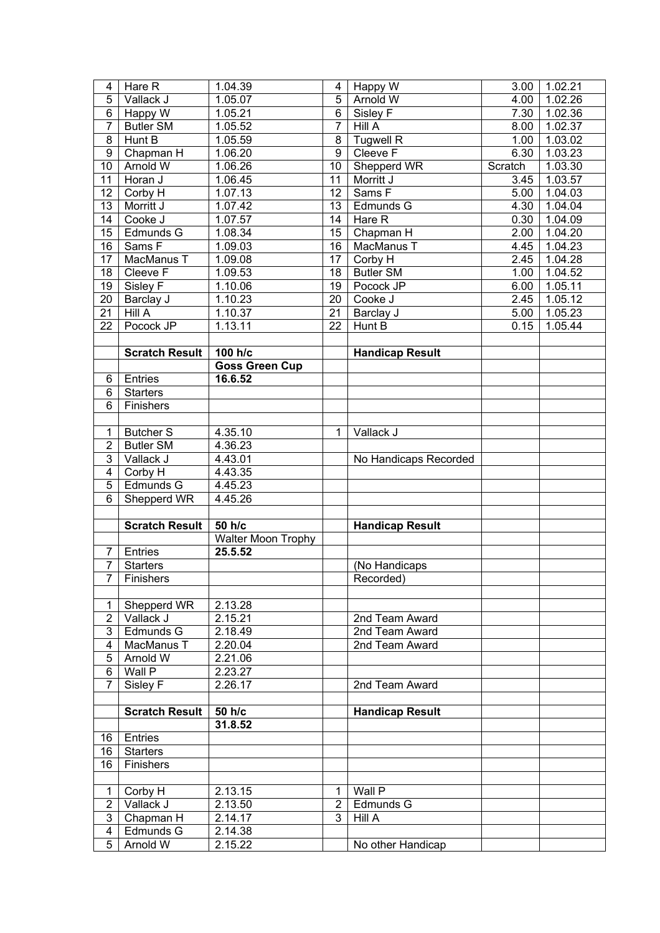| 4                                | Hare R                 | 1.04.39               | 4               | Happy W                          | 3.00    | 1.02.21 |
|----------------------------------|------------------------|-----------------------|-----------------|----------------------------------|---------|---------|
| $\overline{5}$                   | Vallack J              | 1.05.07               | 5               | Arnold W                         | 4.00    | 1.02.26 |
| $\overline{6}$                   | Happy $\overline{W}$   | 1.05.21               | 6               | Sisley F                         | 7.30    | 1.02.36 |
| $\overline{7}$                   | <b>Butler SM</b>       | 1.05.52               | $\overline{7}$  | Hill A                           | 8.00    | 1.02.37 |
| $\overline{8}$                   | Hunt B                 | 1.05.59               | 8               | <b>Tugwell R</b>                 | 1.00    | 1.03.02 |
| $\overline{9}$                   | Chapman H              | 1.06.20               | $\overline{9}$  | Cleeve F                         | 6.30    | 1.03.23 |
| 10                               | Arnold W               | 1.06.26               | $\overline{10}$ | Shepperd WR                      | Scratch | 1.03.30 |
| 11                               | Horan J                | 1.06.45               | 11              | Morritt J                        | 3.45    | 1.03.57 |
| 12                               | Corby H                | 1.07.13               | $\overline{12}$ | Sams <sub>F</sub>                | 5.00    | 1.04.03 |
| $\overline{13}$                  | Morritt J              | 1.07.42               | $\overline{13}$ | Edmunds G                        | 4.30    | 1.04.04 |
| 14                               | Cooke J                | 1.07.57               | 14              | Hare R                           | 0.30    | 1.04.09 |
| 15                               | Edmunds G              | 1.08.34               | 15              | Chapman H                        | 2.00    | 1.04.20 |
| 16                               | Sams F                 | 1.09.03               | $\overline{16}$ | MacManus T                       | 4.45    | 1.04.23 |
| 17                               | MacManus T             | 1.09.08               | $\overline{17}$ | Corby H                          | 2.45    | 1.04.28 |
| 18                               | Cleeve $\overline{F}$  | 1.09.53               | 18              | <b>Butler SM</b>                 | 1.00    | 1.04.52 |
| 19                               | Sisley F               | 1.10.06               | 19              | Pocock JP                        | 6.00    | 1.05.11 |
| 20                               | Barclay J              | 1.10.23               | $\overline{20}$ | Cooke J                          | 2.45    | 1.05.12 |
| $\overline{21}$                  | Hill A                 | 1.10.37               | $\overline{21}$ | Barclay J                        | 5.00    | 1.05.23 |
| $\overline{22}$                  | Pocock JP              | 1.13.11               | 22              | Hunt B                           | 0.15    | 1.05.44 |
|                                  |                        |                       |                 |                                  |         |         |
|                                  | <b>Scratch Result</b>  | 100 h/c               |                 | <b>Handicap Result</b>           |         |         |
|                                  |                        | <b>Goss Green Cup</b> |                 |                                  |         |         |
| 6                                | Entries                | 16.6.52               |                 |                                  |         |         |
| 6                                | <b>Starters</b>        |                       |                 |                                  |         |         |
| $\overline{6}$                   | Finishers              |                       |                 |                                  |         |         |
|                                  |                        |                       |                 |                                  |         |         |
| $\mathbf{1}$                     | <b>Butcher S</b>       | 4.35.10               | $\mathbf{1}$    | Vallack J                        |         |         |
| $\overline{2}$                   | <b>Butler SM</b>       | 4.36.23               |                 |                                  |         |         |
| $\overline{3}$                   | Vallack J              | 4.43.01               |                 | No Handicaps Recorded            |         |         |
| $\overline{4}$                   | Corby H                | 4.43.35               |                 |                                  |         |         |
| $\overline{5}$                   | Edmunds G              | 4.45.23               |                 |                                  |         |         |
| $\overline{6}$                   | Shepperd WR            | 4.45.26               |                 |                                  |         |         |
|                                  |                        |                       |                 |                                  |         |         |
|                                  | <b>Scratch Result</b>  | 50 h/c                |                 | <b>Handicap Result</b>           |         |         |
|                                  |                        | Walter Moon Trophy    |                 |                                  |         |         |
| $\overline{7}$                   | Entries                | 25.5.52               |                 |                                  |         |         |
| $\overline{7}$                   | <b>Starters</b>        |                       |                 | (No Handicaps                    |         |         |
|                                  | 7   Finishers          |                       |                 | Recorded)                        |         |         |
|                                  |                        |                       |                 |                                  |         |         |
| 1                                | Shepperd WR            | 2.13.28               |                 |                                  |         |         |
| $\overline{2}$<br>$\overline{3}$ | Vallack J<br>Edmunds G | 2.15.21<br>2.18.49    |                 | 2nd Team Award<br>2nd Team Award |         |         |
| 4                                | MacManus T             | 2.20.04               |                 | 2nd Team Award                   |         |         |
| 5                                | Arnold W               | 2.21.06               |                 |                                  |         |         |
| 6                                | Wall P                 | 2.23.27               |                 |                                  |         |         |
| $\overline{7}$                   | Sisley F               | 2.26.17               |                 | 2nd Team Award                   |         |         |
|                                  |                        |                       |                 |                                  |         |         |
|                                  | <b>Scratch Result</b>  | 50 h/c                |                 | <b>Handicap Result</b>           |         |         |
|                                  |                        | 31.8.52               |                 |                                  |         |         |
| 16                               | Entries                |                       |                 |                                  |         |         |
| 16                               | <b>Starters</b>        |                       |                 |                                  |         |         |
| 16                               | Finishers              |                       |                 |                                  |         |         |
|                                  |                        |                       |                 |                                  |         |         |
| 1                                | Corby H                | 2.13.15               | 1               | Wall P                           |         |         |
| $\overline{2}$                   | Vallack J              | 2.13.50               | $\overline{2}$  | Edmunds G                        |         |         |
| $\overline{3}$                   | Chapman H              | 2.14.17               | $\overline{3}$  | Hill A                           |         |         |
| 4                                | Edmunds G              | 2.14.38               |                 |                                  |         |         |
|                                  |                        |                       |                 |                                  |         |         |
| 5                                | Arnold W               | 2.15.22               |                 | No other Handicap                |         |         |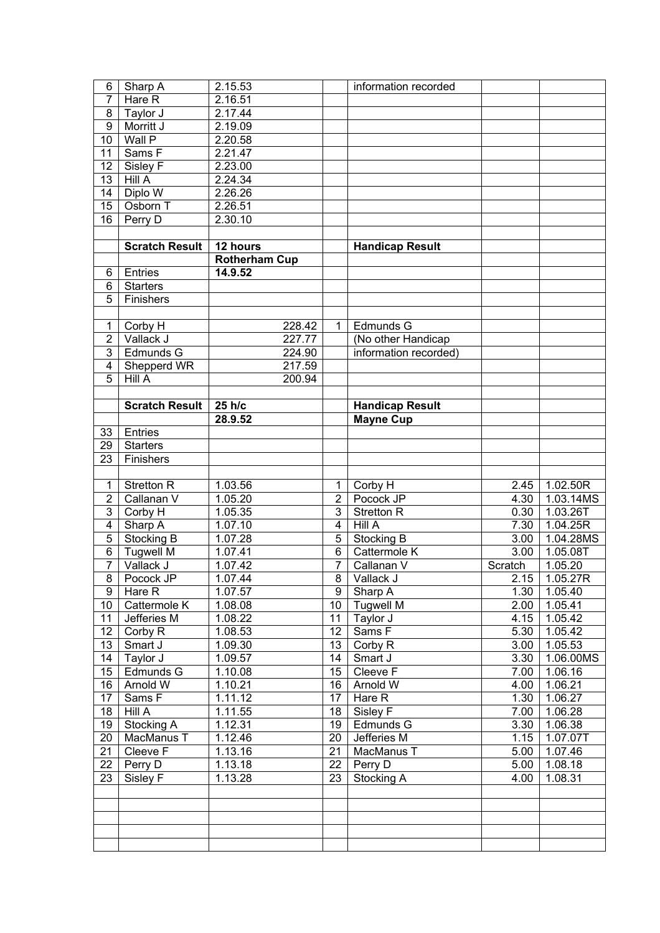| 6                       | Sharp A               | 2.15.53              |                 | information recorded   |                   |               |
|-------------------------|-----------------------|----------------------|-----------------|------------------------|-------------------|---------------|
| $\overline{7}$          | Hare R                | 2.16.51              |                 |                        |                   |               |
| 8                       | Taylor J              | 2.17.44              |                 |                        |                   |               |
| $\overline{9}$          | Morritt J             | 2.19.09              |                 |                        |                   |               |
| $\overline{10}$         | Wall P                | 2.20.58              |                 |                        |                   |               |
| 11                      | Sams F                | 2.21.47              |                 |                        |                   |               |
| 12                      | Sisley F              | 2.23.00              |                 |                        |                   |               |
| $\overline{13}$         | Hill A                | 2.24.34              |                 |                        |                   |               |
| 14                      | Diplo W               | 2.26.26              |                 |                        |                   |               |
| 15                      | Osborn T              | 2.26.51              |                 |                        |                   |               |
| $\overline{16}$         | Perry D               | 2.30.10              |                 |                        |                   |               |
|                         |                       |                      |                 |                        |                   |               |
|                         | <b>Scratch Result</b> | 12 hours             |                 | <b>Handicap Result</b> |                   |               |
|                         |                       | <b>Rotherham Cup</b> |                 |                        |                   |               |
| 6                       | Entries               | 14.9.52              |                 |                        |                   |               |
| $\overline{6}$          | <b>Starters</b>       |                      |                 |                        |                   |               |
| 5                       | Finishers             |                      |                 |                        |                   |               |
|                         |                       |                      |                 |                        |                   |               |
| 1                       | Corby H               | 228.42               | $\mathbf{1}$    | Edmunds G              |                   |               |
| $\overline{2}$          | Vallack J             | 227.77               |                 | (No other Handicap     |                   |               |
| $\overline{3}$          | Edmunds G             | 224.90               |                 | information recorded)  |                   |               |
| $\overline{\mathbf{4}}$ | Shepperd WR           | 217.59               |                 |                        |                   |               |
| $\overline{5}$          | Hill A                | 200.94               |                 |                        |                   |               |
|                         |                       |                      |                 |                        |                   |               |
|                         | <b>Scratch Result</b> | 25 h/c               |                 | <b>Handicap Result</b> |                   |               |
|                         |                       | 28.9.52              |                 | <b>Mayne Cup</b>       |                   |               |
| 33                      | Entries               |                      |                 |                        |                   |               |
| 29                      | <b>Starters</b>       |                      |                 |                        |                   |               |
| 23                      | Finishers             |                      |                 |                        |                   |               |
|                         |                       |                      |                 |                        |                   |               |
| 1                       | <b>Stretton R</b>     | 1.03.56              | 1               | Corby H                | 2.45              | 1.02.50R      |
| $\overline{2}$          | Callanan V            | 1.05.20              | $\overline{2}$  | Pocock JP              | 4.30              | 1.03.14MS     |
| $\overline{3}$          | Corby H               | 1.05.35              | 3               | <b>Stretton R</b>      | 0.30              | 1.03.26T      |
| $\overline{4}$          | Sharp A               | 1.07.10              | $\overline{4}$  | Hill A                 | 7.30              | 1.04.25R      |
| $\overline{5}$          | Stocking B            | 1.07.28              | 5               | Stocking B             | 3.00              | 1.04.28MS     |
| $\overline{6}$          | <b>Tugwell M</b>      | 1.07.41              | $\overline{6}$  | Cattermole K           | $\overline{3.00}$ | 1.05.08T      |
| $\overline{7}$          | Vallack J             | 1.07.42              | $\overline{7}$  | Callanan V             | Scratch           | 1.05.20       |
| $\overline{8}$          | Pocock JP             | 1.07.44              |                 | 8   Vallack J          |                   | 2.15 1.05.27R |
| 9                       | Hare R                | 1.07.57              | 9               | Sharp A                | 1.30              | 1.05.40       |
| 10                      | Cattermole K          | 1.08.08              | 10 <sup>1</sup> | <b>Tugwell M</b>       | 2.00              | 1.05.41       |
| 11                      | Jefferies M           | 1.08.22              | 11              | Taylor J               | 4.15              | 1.05.42       |
| 12                      | Corby R               | 1.08.53              | 12              | Sams F                 | 5.30              | 1.05.42       |
| 13                      | Smart J               | 1.09.30              | 13              | Corby R                | 3.00              | 1.05.53       |
| 14                      | Taylor J              | 1.09.57              | 14              | Smart J                | 3.30              | 1.06.00MS     |
| 15                      | Edmunds G             | 1.10.08              | 15              | Cleeve F               | 7.00              | 1.06.16       |
| 16                      | Arnold W              | 1.10.21              | 16              | Arnold W               | 4.00              | 1.06.21       |
| 17                      | Sams F                | 1.11.12              | 17              | Hare R                 | 1.30              | 1.06.27       |
| 18                      | <b>Hill A</b>         | 1.11.55              | 18              | Sisley F               | 7.00              | 1.06.28       |
| 19                      | Stocking A            | 1.12.31              | 19              | Edmunds G              | 3.30              | 1.06.38       |
| 20                      | MacManus T            | 1.12.46              | 20              | Jefferies M            | 1.15              | 1.07.07T      |
| 21                      | Cleeve $\overline{F}$ | 1.13.16              | 21              | MacManus T             | 5.00              | 1.07.46       |
| 22                      | Perry D               | 1.13.18              | 22              | Perry D                | 5.00              | 1.08.18       |
| 23                      | Sisley F              | 1.13.28              | 23              | Stocking A             | 4.00              | 1.08.31       |
|                         |                       |                      |                 |                        |                   |               |
|                         |                       |                      |                 |                        |                   |               |
|                         |                       |                      |                 |                        |                   |               |
|                         |                       |                      |                 |                        |                   |               |
|                         |                       |                      |                 |                        |                   |               |